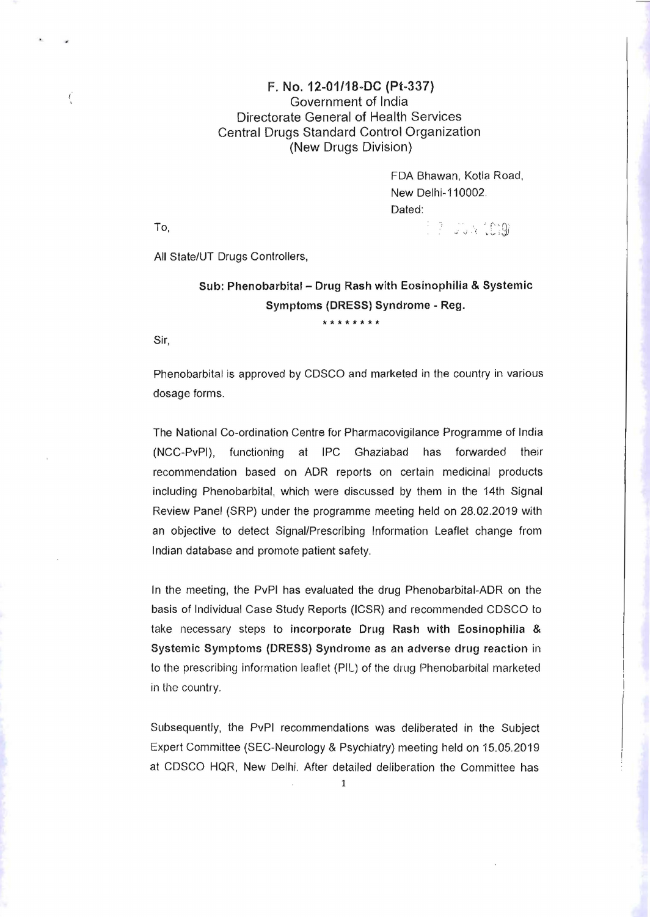## F. No. 12-01/18-DC (Pt-337) ( Government of India Directorate General of Health Services Central Drugs Standard Control Organization (New Drugs Division)

FDA Shawan, Kolla Road, New Delhi-110002. Dated: **To, and the contract of the contract of the contract of the contract of the contract of the contract of the contract of the contract of the contract of the contract of the contract of the contract of the contract of the c** 

All State/UT Drugs Controllers,

## Sub: Phenobarbital - Drug Rash with Eosinophilia & Systemic Symptoms (DRESS) Syndrome - Reg.

Sir,

Phenobarbital is approved by CDSCO and marketed in the country in various dosage forms.

**\*\*\*\*\*\*\*\*** 

The National Co-ordination Centre for Pharmacovigilance Programme of India (NCC-PvPI), functioning at IPC Ghaziabad has forwarded their recommendation based on ADR reports on certain medicinal products including Phenobarbital, which were discussed by them in the 14th Signal Review Panel (SRP) under the programme meeting held on 28.02.2019 with an objective to detect Signal/Prescribing Information Leaflet change from Indian database and promote patient safety.

In the meeting, the PvPI has evaluated the drug Phenobarbital-ADR on the basis of Individual Case Study Reports (ICSR) and recommended CDSCO to take necessary steps to incorporate Drug Rash with Eosinophilia & Systemic Symptoms (DRESS) Syndrome as an adverse drug reaction in to the prescribing information leaflet (PIL) of the drug Phenobarbital marketed in the country.

Subsequently, the PvPI recommendations was deliberated in the Subject Expert Committee (SEC-Neurology & Psychiatry) meeting held on 15.05.2019 at CDSCO HQR, New Delhi. After detailed deliberation the Committee has